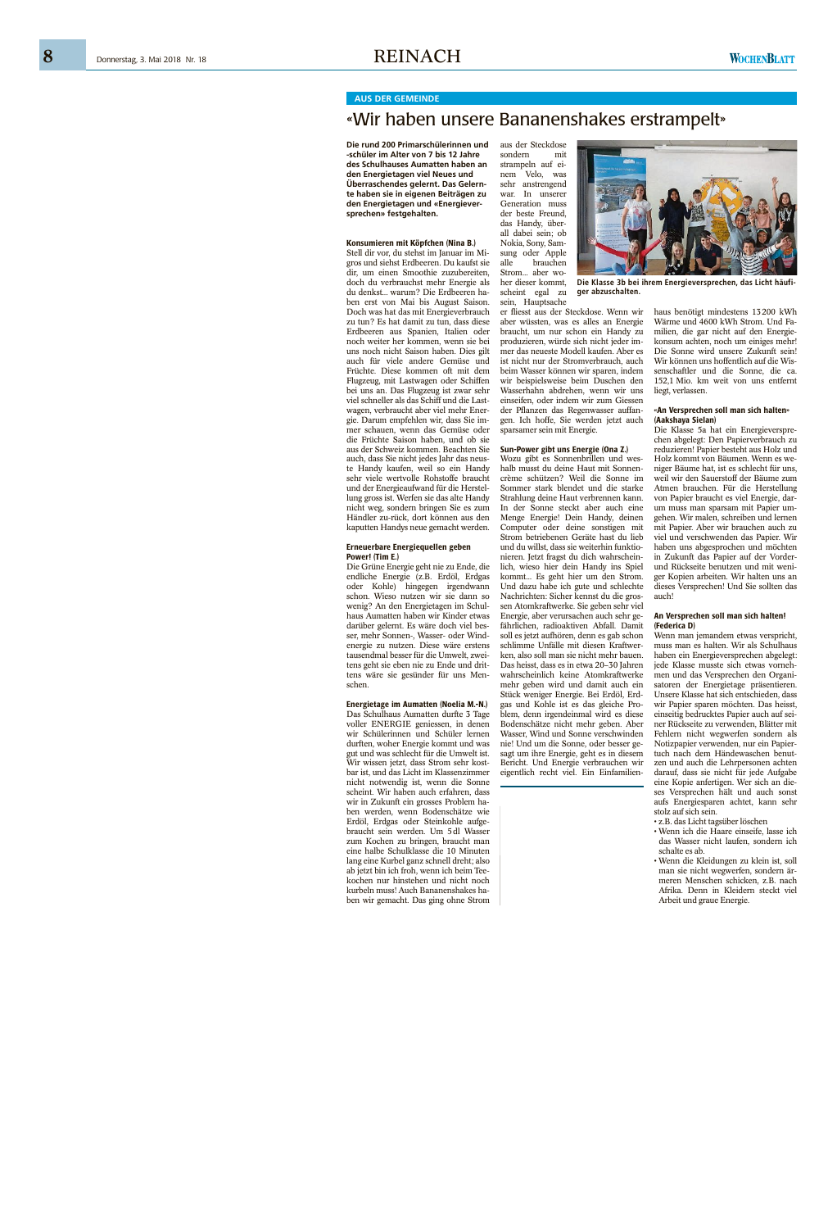8

### **AUS DER GEMEINDE**

## «Wir haben unsere Bananenshakes erstrampelt»

Die rund 200 Primarschülerinnen und -schüler im Alter von 7 bis 12 Jahre des Schulhauses Aumatten haben an den Energietagen viel Neues und Überraschendes gelernt. Das Gelernte haben sie in eigenen Beiträgen zu den Energietagen und «Energieversprechen» festgehalten.

#### Konsumieren mit Köpfchen (Nina B.)

Stell dir vor, du stehst im Januar im Migros und siehst Erdbeeren. Du kaufst sie dir, um einen Smoothie zuzubereiten, doch du verbrauchst mehr Energie als du denkst... warum? Die Erdbeeren haben erst von Mai bis August Saison. Doch was hat das mit Energieverbrauch zu tun? Es hat damit zu tun, dass diese Erdbeeren aus Spanien, Italien oder noch weiter her kommen, wenn sie bei uns noch nicht Saison haben. Dies gilt auch für viele andere Gemüse und Früchte. Diese kommen oft mit dem Flugzeug, mit Lastwagen oder Schiffen bei uns an. Das Flugzeug ist zwar sehr viel schneller als das Schiff und die Lastwagen, verbraucht aber viel mehr Energie. Darum empfehlen wir, dass Sie immer schauen, wenn das Gemüse oder die Früchte Saison haben, und ob sie aus der Schweiz kommen. Beachten Sie auch, dass Sie nicht jedes Jahr das neuste Handy kaufen, weil so ein Handy sehr viele wertvolle Rohstoffe braucht und der Energieaufwand für die Herstellung gross ist. Werfen sie das alte Handy nicht weg, sondern bringen Sie es zum Händler zu-rück, dort können aus den kaputten Handys neue gemacht werden.

#### Erneuerbare Energiequellen geben Power! (Tim E.)

Die Grüne Energie geht nie zu Ende, die endliche Energie (z.B. Erdöl, Erdgas oder Kohle) hingegen irgendwann schon. Wieso nutzen wir sie dann so wenig? An den Energietagen im Schulhaus Aumatten haben wir Kinder etwas darüber gelernt. Es wäre doch viel besser, mehr Sonnen-, Wasser- oder Windenergie zu nutzen. Diese wäre erstens tausendmal besser für die Umwelt, zweitens geht sie eben nie zu Ende und drittens wäre sie gesünder für uns Menschen.

#### Energietage im Aumatten (Noelia M.-N.)

Das Schulhaus Aumatten durfte 3 Tage voller ENERGIE geniessen, in denen wir Schülerinnen und Schüler lernen durften, woher Energie kommt und was gut und was schlecht für die Umwelt ist. Wir wissen jetzt, dass Strom sehr kostbar ist, und das Licht im Klassenzimmer nicht notwendig ist, wenn die Sonne scheint. Wir haben auch erfahren, dass wir in Zukunft ein grosses Problem haben werden, wenn Bodenschätze wie Erdöl, Erdgas oder Steinkohle aufgebraucht sein werden. Um 5 dl Wasser zum Kochen zu bringen, braucht man eine halbe Schulklasse die 10 Minuten lang eine Kurbel ganz schnell dreht; also ab jetzt bin ich froh, wenn ich beim Teekochen nur hinstehen und nicht noch kurbeln muss! Auch Bananenshakes haben wir gemacht. Das ging ohne Strom aus der Steckdose sondern mit strampeln auf einem Velo, was sehr anstrengend war. In unserer Generation muss der beste Freund, das Handy, überall dabei sein; ob Nokia, Sony, Samsung oder Apple alle brauchen Strom... aber woher dieser kommt. scheint egal zu

sein, Hauptsache er fliesst aus der Steckdose. Wenn wir aber wüssten, was es alles an Energie braucht, um nur schon ein Handy zu produzieren, würde sich nicht jeder immer das neueste Modell kaufen. Aber es ist nicht nur der Stromverbrauch, auch beim Wasser können wir sparen, indem wir beispielsweise beim Duschen den Wasserhahn abdrehen, wenn wir uns einseifen, oder indem wir zum Giessen der Pflanzen das Regenwasser auffangen. Ich hoffe, Sie werden jetzt auch sparsamer sein mit Energie.

#### Sun-Power gibt uns Energie (Ona Z.)

Wozu gibt es Sonnenbrillen und weshalb musst du deine Haut mit Sonnencrème schützen? Weil die Sonne im Sommer stark blendet und die starke Strahlung deine Haut verbrennen kann. In der Sonne steckt aber auch eine Menge Energie! Dein Handy, deinen Computer oder deine sonstigen mit Strom betriebenen Geräte hast du lieb und du willst, dass sie weiterhin funktionieren. Jetzt fragst du dich wahrscheinlich, wieso hier dein Handy ins Spiel kommt... Es geht hier um den Strom. Und dazu habe ich gute und schlechte Nachrichten: Sicher kennst du die grossen Atomkraftwerke. Sie geben sehr viel Energie, aber verursachen auch sehr gefährlichen, radioaktiven Abfall. Damit soll es jetzt aufhören, denn es gab schon schlimme Unfälle mit diesen Kraftwerken, also soll man sie nicht mehr bauen. Das heisst, dass es in etwa 20-30 Jahren wahrscheinlich keine Atomkraftwerke mehr geben wird und damit auch ein Stück weniger Energie. Bei Erdöl, Erdgas und Kohle ist es das gleiche Problem, denn irgendeinmal wird es diese Bodenschätze nicht mehr geben. Aber Wasser. Wind und Sonne verschwinden nie! Und um die Sonne, oder besser gesagt um ihre Energie, geht es in diesem Bericht. Und Energie verbrauchen wir eigentlich recht viel. Ein Einfamilien-



Die Klasse 3b bei ihrem Energieversprechen, das Licht häufiger abzuschalten.

haus benötigt mindestens 13200 kWh Wärme und 4600 kWh Strom. Und Familien, die gar nicht auf den Energiekonsum achten, noch um einiges mehr! Die Sonne wird unsere Zukunft sein! Wir können uns hoffentlich auf die Wissenschaftler und die Sonne, die ca. 152,1 Mio. km weit von uns entfernt liegt. verlassen.

#### «An Versprechen soll man sich halten» (Aakshaya Sielan)

Die Klasse 5a hat ein Energieversprechen abgelegt: Den Papierverbrauch zu reduzieren! Papier besteht aus Holz und Holz kommt von Bäumen. Wenn es weniger Bäume hat, ist es schlecht für uns, weil wir den Sauerstoff der Bäume zum Atmen brauchen. Für die Herstellung von Papier braucht es viel Energie, darum muss man sparsam mit Papier umgehen. Wir malen, schreiben und lernen mit Papier. Aber wir brauchen auch zu viel und verschwenden das Papier. Wir haben uns abgesprochen und möchten in Zukunft das Papier auf der Vorderund Rückseite benutzen und mit weniger Kopien arbeiten. Wir halten uns an dieses Versprechen! Und Sie sollten das auch!

#### An Versprechen soll man sich halten! (Federica D)

Wenn man jemandem etwas verspricht, muss man es halten. Wir als Schulhaus haben ein Energieversprechen abgelegt: jede Klasse musste sich etwas vornehmen und das Versprechen den Organisatoren der Energietage präsentieren. Unsere Klasse hat sich entschieden, dass wir Papier sparen möchten. Das heisst, einseitig bedrucktes Papier auch auf seiner Rückseite zu verwenden, Blätter mit Fehlern nicht wegwerfen sondern als Notizpapier verwenden, nur ein Papiertuch nach dem Händewaschen benutzen und auch die Lehrpersonen achten darauf, dass sie nicht für jede Aufgabe eine Kopie anfertigen. Wer sich an dieses Versprechen hält und auch sonst aufs Energiesparen achtet, kann sehr stolz auf sich sein.

• z.B. das Licht tagsüber löschen

- Wenn ich die Haare einseife, lasse ich das Wasser nicht laufen, sondern ich schalte es ab.
- · Wenn die Kleidungen zu klein ist, soll man sie nicht wegwerfen, sondern ärmeren Menschen schicken, z.B. nach Afrika. Denn in Kleidern steckt viel Arbeit und graue Energie.